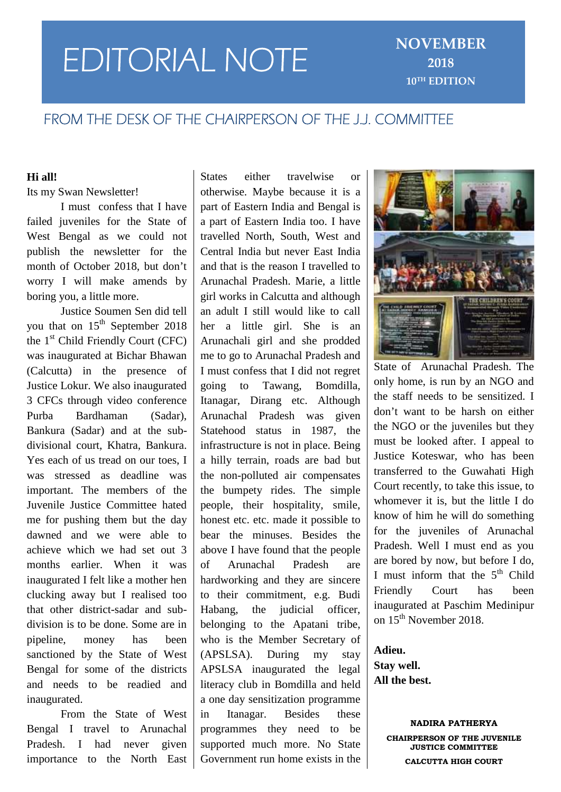# **EDITORIAL NOTE** NOVEMBER

# **FROM THE DESK OF THE CHAIRPERSON OF THE J.J. COMMITTEE**

# **Hi all!**

## Its my Swan Newsletter!

I must confess that I have failed juveniles for the State of West Bengal as we could not publish the newsletter for the month of October 2018, but don't worry I will make amends by boring you, a little more.

Justice Soumen Sen did tell you that on  $15<sup>th</sup>$  September 2018 the 1st Child Friendly Court (CFC) was inaugurated at Bichar Bhawan (Calcutta) in the presence of Justice Lokur. We also inaugurated 3 CFCs through video conference Purba Bardhaman (Sadar), Bankura (Sadar) and at the sub divisional court, Khatra, Bankura. Yes each of us tread on our toes, I was stressed as deadline was important. The members of the Juvenile Justice Committee hated me for pushing them but the day dawned and we were able to achieve which we had set out 3 months earlier. When it was of inaugurated I felt like a mother hen clucking away but I realised too that other district-sadar and sub division is to be done. Some are in pipeline, money has been sanctioned by the State of West Bengal for some of the districts and needs to be readied and inaugurated.

From the State of West in Bengal I travel to Arunachal Pradesh. I had never given importance to the North East

States either travelwise or otherwise. Maybe because it is a part of Eastern India and Bengal is a part of Eastern India too. I have travelled North, South, West and Central India but never East India and that is the reason I travelled to Arunachal Pradesh. Marie, a little girl works in Calcutta and although an adult I still would like to call her a little girl. She is an Arunachali girl and she prodded me to go to Arunachal Pradesh and I must confess that I did not regret to Tawang, Bomdilla, Itanagar, Dirang etc. Although Arunachal Pradesh was given Statehood status in 1987, the infrastructure is not in place. Being a hilly terrain, roads are bad but the non-polluted air compensates the bumpety rides. The simple people, their hospitality, smile, honest etc. etc. made it possible to bear the minuses. Besides the above I have found that the people of Arunachal Pradesh are hardworking and they are sincere to their commitment, e.g. Budi the judicial officer, belonging to the Apatani tribe, who is the Member Secretary of (APSLSA). During my stay APSLSA inaugurated the legal literacy club in Bomdilla and held a one day sensitization programme Itanagar. Besides these programmes they need to be supported much more. No State Government run home exists in the



State of Arunachal Pradesh. The only home, is run by an NGO and the staff needs to be sensitized. I don't want to be harsh on either the NGO or the juveniles but they must be looked after. I appeal to Justice Koteswar, who has been transferred to the Guwahati High Court recently, to take this issue, to whomever it is, but the little I do know of him he will do something for the juveniles of Arunachal Pradesh. Well I must end as you are bored by now, but before I do, I must inform that the  $5<sup>th</sup>$  Child Friendly Court has been inaugurated at Paschim Medinipur on  $15^{th}$  November 2018.

**Adieu. Stay well. All the best.**

> **NADIRA PATHERYA CHAIRPERSON OF THE JUVENILE JUSTICE COMMITTEE CALCUTTA HIGH COURT**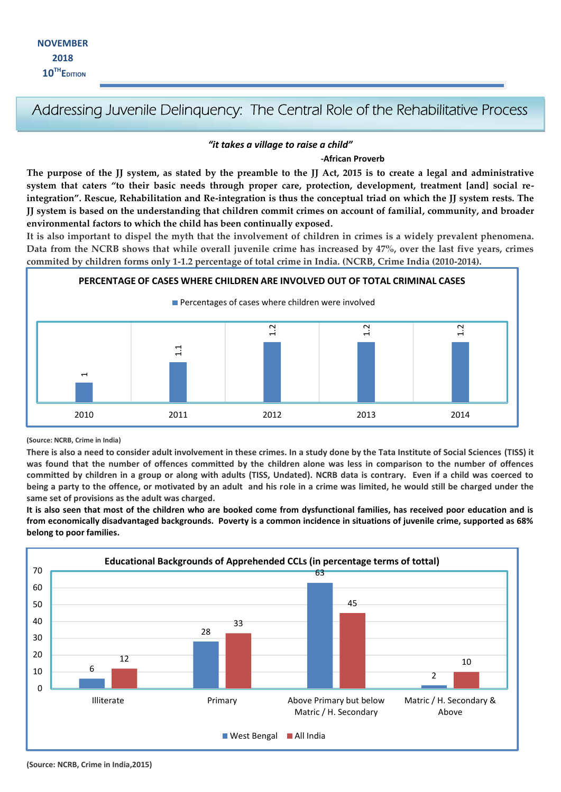# **Addressing Juvenile Delinquency: The Central Role of the Rehabilitative Process**

#### *"it takes a village to raise a child"*

#### **-African Proverb**

**The purpose of the JJ system, as stated by the preamble to the JJ Act, 2015 is to create a legal and administrative system that caters "to their basic needs through proper care, protection, development, treatment [and] social reintegration". Rescue, Rehabilitation and Re-integration is thus the conceptual triad on which the JJ system rests. The JJ system is based on the understanding that children commit crimes on account of familial, community, and broader environmental factors to which the child has been continually exposed.**

**It is also important to dispel the myth that the involvement of children in crimes is a widely prevalent phenomena. Data from the NCRB shows that while overall juvenile crime has increased by 47%, over the last five years, crimes commited by children forms only 1-1.2 percentage of total crime in India. (NCRB, Crime India (2010-2014).**



#### **(Source: NCRB, Crime in India)**

**There is also a need to consider adult involvement in these crimes. In a study done by the Tata Institute of Social Sciences (TISS) it was found that the number of offences committed by the children alone was less in comparison to the number of offences committed by children in a group or along with adults (TISS, Undated). NCRB data is contrary. Even if a child was coerced to being a party to the offence, or motivated by an adult and his role in a crime was limited, he would still be charged under the same set of provisions as the adult was charged.**

**It is also seen that most of the children who are booked come from dysfunctional families, has received poor education and is from economically disadvantaged backgrounds. Poverty is a common incidence in situations of juvenile crime, supported as 68% belong to poor families.**

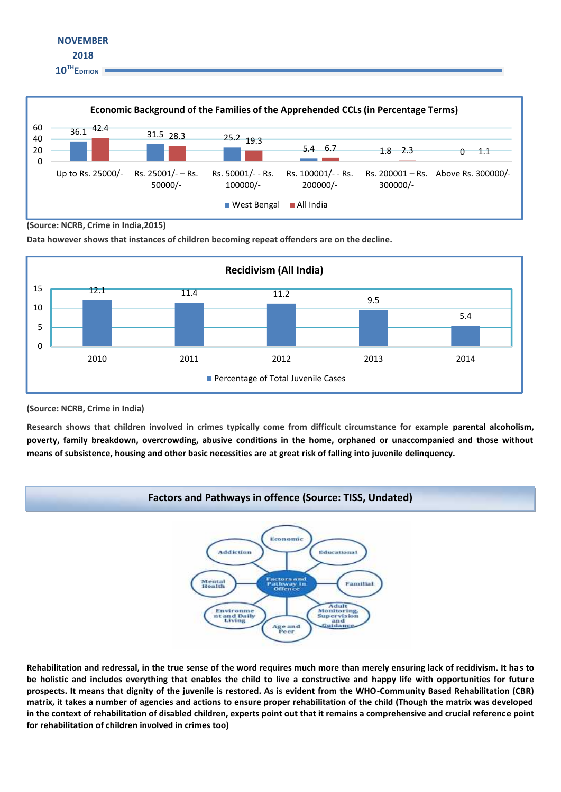



**(Source: NCRB, Crime in India,2015)**

**Data however shows that instances of children becoming repeat offenders are on the decline.**



**(Source: NCRB, Crime in India)**

**Research shows that children involved in crimes typically come from difficult circumstance for example parental alcoholism, poverty, family breakdown, overcrowding, abusive conditions in the home, orphaned or unaccompanied and those without means of subsistence, housing and other basic necessities are at great risk of falling into juvenile delinquency.**



**Rehabilitation and redressal, in the true sense of the word requires much more than merely ensuring lack of recidivism. It has to be holistic and includes everything that enables the child to live a constructive and happy life with opportunities for future prospects. It means that dignity of the juvenile is restored. As is evident from the WHO-Community Based Rehabilitation (CBR) matrix, it takes a number of agencies and actions to ensure proper rehabilitation of the child (Though the matrix was developed in the context of rehabilitation of disabled children, experts point out that it remains a comprehensive and crucial reference point for rehabilitation of children involved in crimes too)**